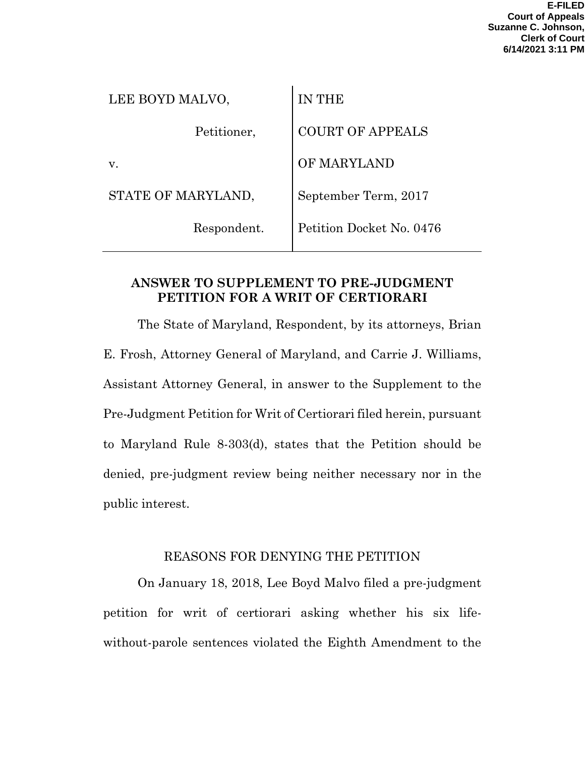| LEE BOYD MALVO,    | <b>IN THE</b>            |
|--------------------|--------------------------|
| Petitioner,        | <b>COURT OF APPEALS</b>  |
| v.                 | OF MARYLAND              |
| STATE OF MARYLAND, | September Term, 2017     |
| Respondent.        | Petition Docket No. 0476 |
|                    |                          |

### **ANSWER TO SUPPLEMENT TO PRE-JUDGMENT PETITION FOR A WRIT OF CERTIORARI**

The State of Maryland, Respondent, by its attorneys, Brian E. Frosh, Attorney General of Maryland, and Carrie J. Williams, Assistant Attorney General, in answer to the Supplement to the Pre-Judgment Petition for Writ of Certiorari filed herein, pursuant to Maryland Rule 8-303(d), states that the Petition should be denied, pre-judgment review being neither necessary nor in the public interest.

## REASONS FOR DENYING THE PETITION

On January 18, 2018, Lee Boyd Malvo filed a pre-judgment petition for writ of certiorari asking whether his six lifewithout-parole sentences violated the Eighth Amendment to the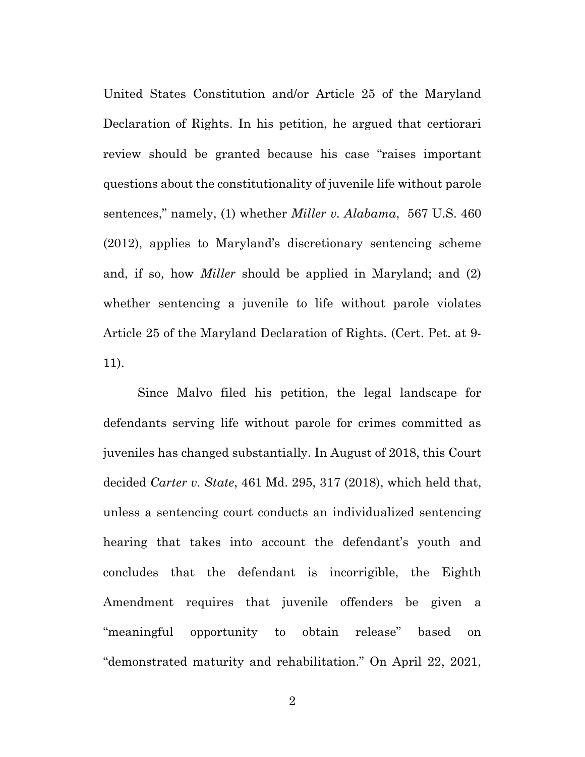United States Constitution and/or Article 25 of the Maryland Declaration of Rights. In his petition, he argued that certiorari review should be granted because his case "raises important questions about the constitutionality of juvenile life without parole sentences," namely, (1) whether *Miller v. Alabama*, 567 U.S. 460 (2012), applies to Maryland's discretionary sentencing scheme and, if so, how *Miller* should be applied in Maryland; and (2) whether sentencing a juvenile to life without parole violates Article 25 of the Maryland Declaration of Rights. (Cert. Pet. at 9- 11).

Since Malvo filed his petition, the legal landscape for defendants serving life without parole for crimes committed as juveniles has changed substantially. In August of 2018, this Court decided *Carter v. State*, 461 Md. 295, 317 (2018), which held that, unless a sentencing court conducts an individualized sentencing hearing that takes into account the defendant's youth and concludes that the defendant is incorrigible, the Eighth Amendment requires that juvenile offenders be given a "meaningful opportunity to obtain release" based on "demonstrated maturity and rehabilitation." On April 22, 2021,

2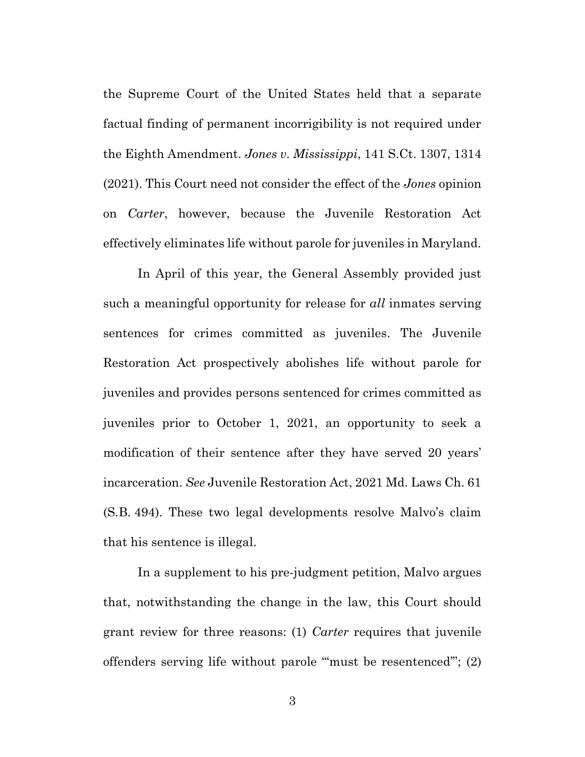the Supreme Court of the United States held that a separate factual finding of permanent incorrigibility is not required under the Eighth Amendment. *Jones v. Mississippi*, 141 S.Ct. 1307, 1314 (2021). This Court need not consider the effect of the *Jones* opinion on *Carter*, however, because the Juvenile Restoration Act effectively eliminates life without parole for juveniles in Maryland.

In April of this year, the General Assembly provided just such a meaningful opportunity for release for *all* inmates serving sentences for crimes committed as juveniles. The Juvenile Restoration Act prospectively abolishes life without parole for juveniles and provides persons sentenced for crimes committed as juveniles prior to October 1, 2021, an opportunity to seek a modification of their sentence after they have served 20 years' incarceration. *See* Juvenile Restoration Act, 2021 Md. Laws Ch. 61 (S.B. 494). These two legal developments resolve Malvo's claim that his sentence is illegal.

In a supplement to his pre-judgment petition, Malvo argues that, notwithstanding the change in the law, this Court should grant review for three reasons: (1) *Carter* requires that juvenile offenders serving life without parole "'must be resentenced'"; (2)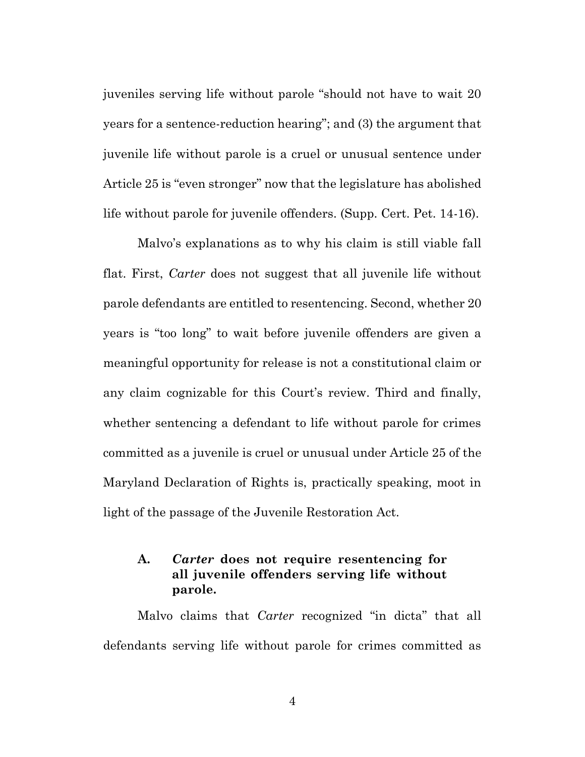juveniles serving life without parole "should not have to wait 20 years for a sentence-reduction hearing"; and (3) the argument that juvenile life without parole is a cruel or unusual sentence under Article 25 is "even stronger" now that the legislature has abolished life without parole for juvenile offenders. (Supp. Cert. Pet. 14-16).

Malvo's explanations as to why his claim is still viable fall flat. First, *Carter* does not suggest that all juvenile life without parole defendants are entitled to resentencing. Second, whether 20 years is "too long" to wait before juvenile offenders are given a meaningful opportunity for release is not a constitutional claim or any claim cognizable for this Court's review. Third and finally, whether sentencing a defendant to life without parole for crimes committed as a juvenile is cruel or unusual under Article 25 of the Maryland Declaration of Rights is, practically speaking, moot in light of the passage of the Juvenile Restoration Act.

### **A.** *Carter* **does not require resentencing for all juvenile offenders serving life without parole.**

Malvo claims that *Carter* recognized "in dicta" that all defendants serving life without parole for crimes committed as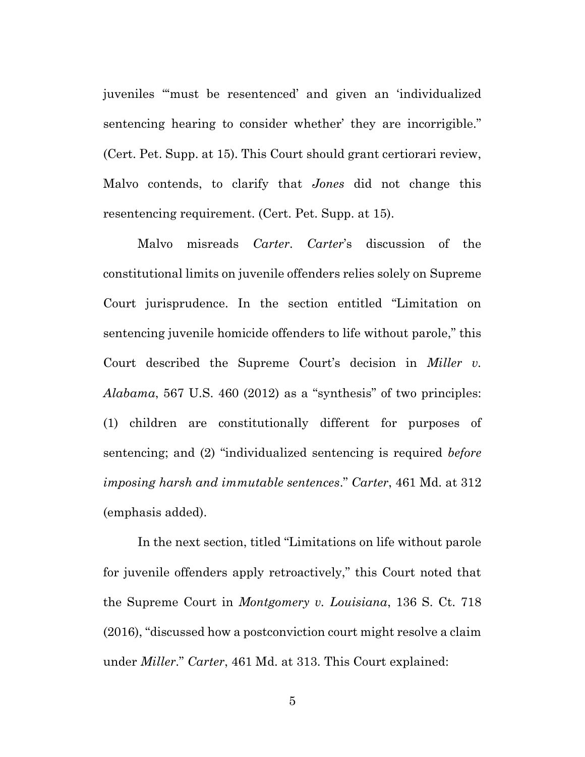juveniles "'must be resentenced' and given an 'individualized sentencing hearing to consider whether' they are incorrigible." (Cert. Pet. Supp. at 15). This Court should grant certiorari review, Malvo contends, to clarify that *Jones* did not change this resentencing requirement. (Cert. Pet. Supp. at 15).

Malvo misreads *Carter*. *Carter*'s discussion of the constitutional limits on juvenile offenders relies solely on Supreme Court jurisprudence. In the section entitled "Limitation on sentencing juvenile homicide offenders to life without parole," this Court described the Supreme Court's decision in *Miller v. Alabama*, 567 U.S. 460 (2012) as a "synthesis" of two principles: (1) children are constitutionally different for purposes of sentencing; and (2) "individualized sentencing is required *before imposing harsh and immutable sentences*." *Carter*, 461 Md. at 312 (emphasis added).

In the next section, titled "Limitations on life without parole for juvenile offenders apply retroactively," this Court noted that the Supreme Court in *Montgomery v. Louisiana*, 136 S. Ct. 718 (2016), "discussed how a postconviction court might resolve a claim under *Miller*." *Carter*, 461 Md. at 313. This Court explained: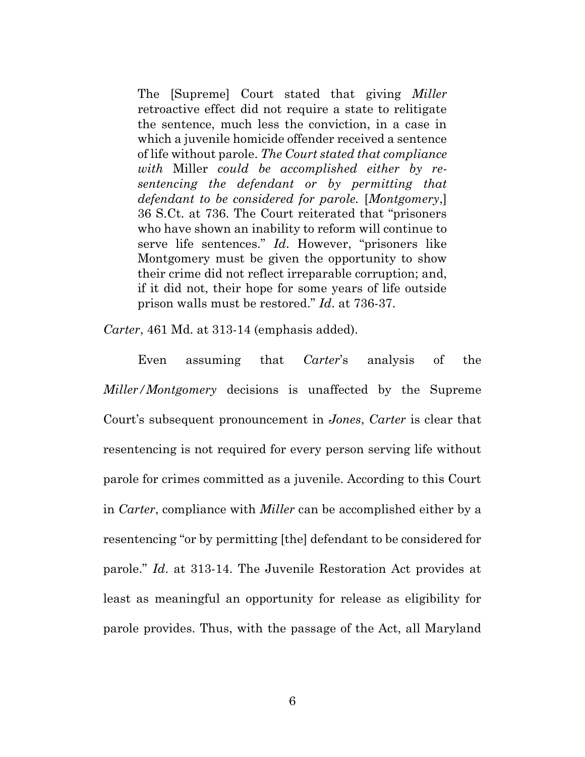The [Supreme] Court stated that giving *Miller* retroactive effect did not require a state to relitigate the sentence, much less the conviction, in a case in which a juvenile homicide offender received a sentence of life without parole. *The Court stated that compliance with* Miller *could be accomplished either by resentencing the defendant or by permitting that defendant to be considered for parole.* [*Montgomery*,] 36 S.Ct. at 736. The Court reiterated that "prisoners who have shown an inability to reform will continue to serve life sentences." *Id*. However, "prisoners like Montgomery must be given the opportunity to show their crime did not reflect irreparable corruption; and, if it did not, their hope for some years of life outside prison walls must be restored." *Id*. at 736-37.

*Carter*, 461 Md. at 313-14 (emphasis added).

Even assuming that *Carter*'s analysis of the *Miller/Montgomery* decisions is unaffected by the Supreme Court's subsequent pronouncement in *Jones*, *Carter* is clear that resentencing is not required for every person serving life without parole for crimes committed as a juvenile. According to this Court in *Carter*, compliance with *Miller* can be accomplished either by a resentencing "or by permitting [the] defendant to be considered for parole." *Id*. at 313-14. The Juvenile Restoration Act provides at least as meaningful an opportunity for release as eligibility for parole provides. Thus, with the passage of the Act, all Maryland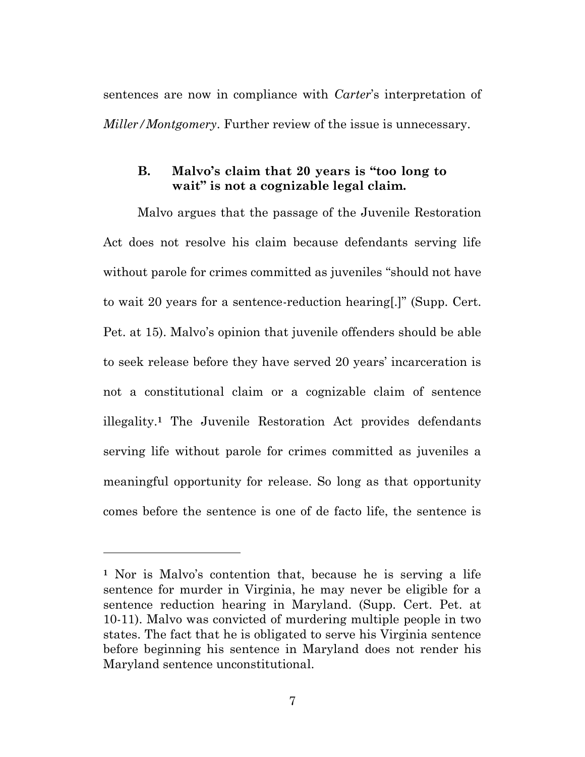sentences are now in compliance with *Carter*'s interpretation of *Miller/Montgomery*. Further review of the issue is unnecessary.

#### **B. Malvo's claim that 20 years is "too long to wait" is not a cognizable legal claim.**

Malvo argues that the passage of the Juvenile Restoration Act does not resolve his claim because defendants serving life without parole for crimes committed as juveniles "should not have to wait 20 years for a sentence-reduction hearing[.]" (Supp. Cert. Pet. at 15). Malvo's opinion that juvenile offenders should be able to seek release before they have served 20 years' incarceration is not a constitutional claim or a cognizable claim of sentence illegality. **<sup>1</sup>** The Juvenile Restoration Act provides defendants serving life without parole for crimes committed as juveniles a meaningful opportunity for release. So long as that opportunity comes before the sentence is one of de facto life, the sentence is

**<sup>1</sup>** Nor is Malvo's contention that, because he is serving a life sentence for murder in Virginia, he may never be eligible for a sentence reduction hearing in Maryland. (Supp. Cert. Pet. at 10-11). Malvo was convicted of murdering multiple people in two states. The fact that he is obligated to serve his Virginia sentence before beginning his sentence in Maryland does not render his Maryland sentence unconstitutional.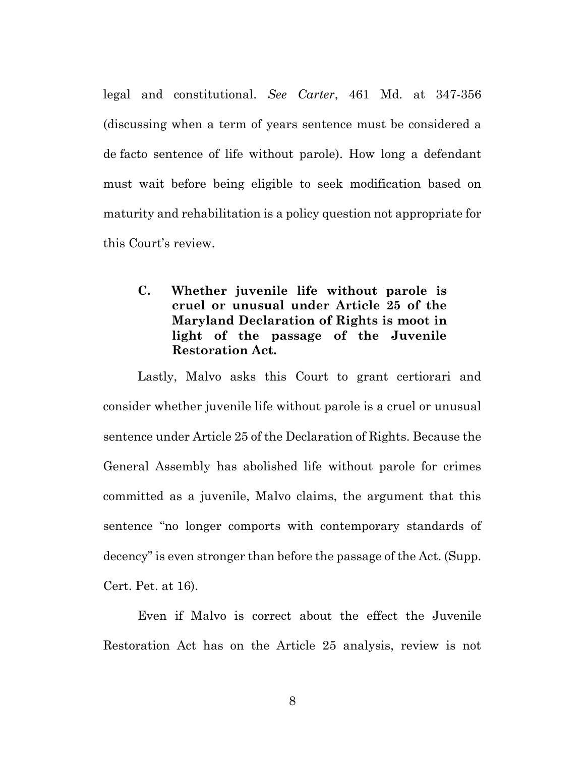legal and constitutional. *See Carter*, 461 Md. at 347-356 (discussing when a term of years sentence must be considered a de facto sentence of life without parole). How long a defendant must wait before being eligible to seek modification based on maturity and rehabilitation is a policy question not appropriate for this Court's review.

# **C. Whether juvenile life without parole is cruel or unusual under Article 25 of the Maryland Declaration of Rights is moot in light of the passage of the Juvenile Restoration Act.**

Lastly, Malvo asks this Court to grant certiorari and consider whether juvenile life without parole is a cruel or unusual sentence under Article 25 of the Declaration of Rights. Because the General Assembly has abolished life without parole for crimes committed as a juvenile, Malvo claims, the argument that this sentence "no longer comports with contemporary standards of decency" is even stronger than before the passage of the Act. (Supp. Cert. Pet. at 16).

Even if Malvo is correct about the effect the Juvenile Restoration Act has on the Article 25 analysis, review is not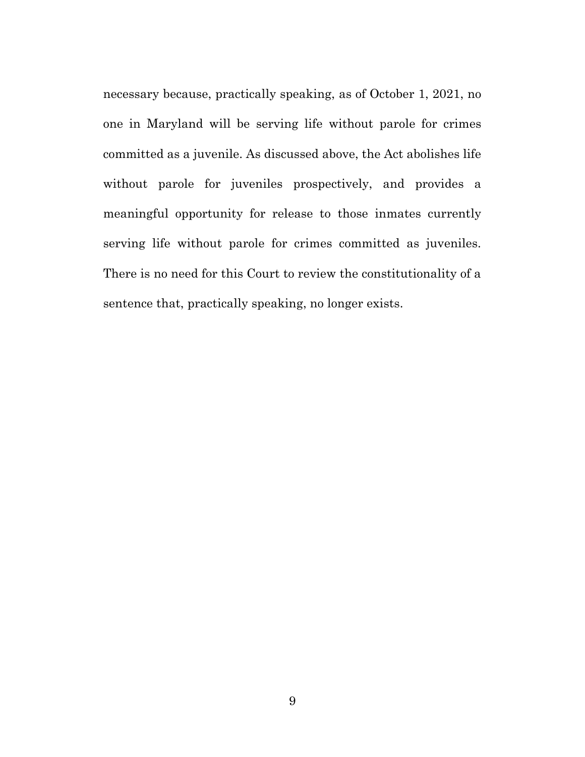necessary because, practically speaking, as of October 1, 2021, no one in Maryland will be serving life without parole for crimes committed as a juvenile. As discussed above, the Act abolishes life without parole for juveniles prospectively, and provides a meaningful opportunity for release to those inmates currently serving life without parole for crimes committed as juveniles. There is no need for this Court to review the constitutionality of a sentence that, practically speaking, no longer exists.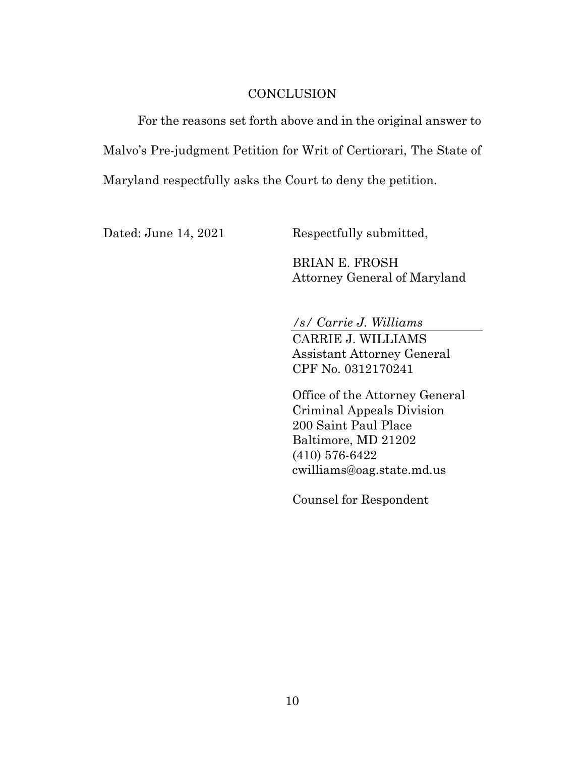#### **CONCLUSION**

For the reasons set forth above and in the original answer to Malvo's Pre-judgment Petition for Writ of Certiorari, The State of Maryland respectfully asks the Court to deny the petition.

Dated: June 14, 2021 Respectfully submitted,

BRIAN E. FROSH Attorney General of Maryland

*/s/ Carrie J. Williams* CARRIE J. WILLIAMS Assistant Attorney General CPF No. 0312170241

Office of the Attorney General Criminal Appeals Division 200 Saint Paul Place Baltimore, MD 21202 (410) 576-6422 cwilliams@oag.state.md.us

Counsel for Respondent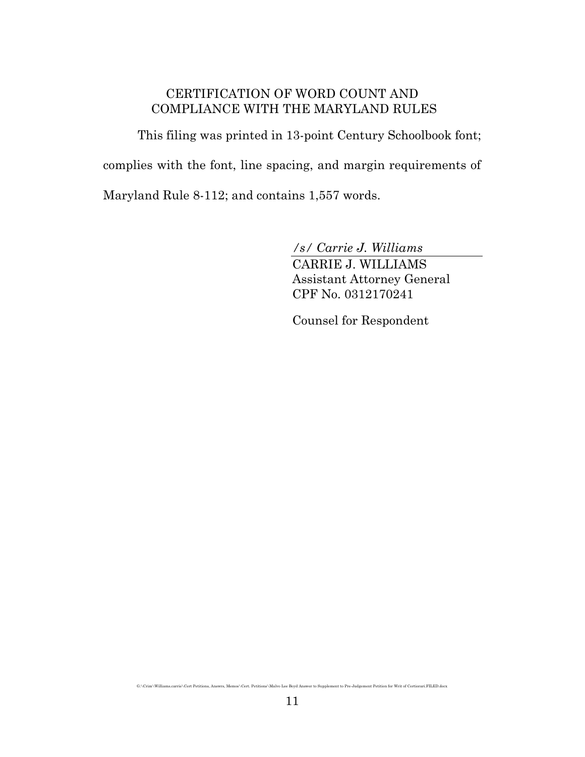# CERTIFICATION OF WORD COUNT AND COMPLIANCE WITH THE MARYLAND RULES

This filing was printed in 13-point Century Schoolbook font; complies with the font, line spacing, and margin requirements of Maryland Rule 8-112; and contains 1,557 words.

*/s/ Carrie J. Williams*

CARRIE J. WILLIAMS Assistant Attorney General CPF No. 0312170241

Counsel for Respondent